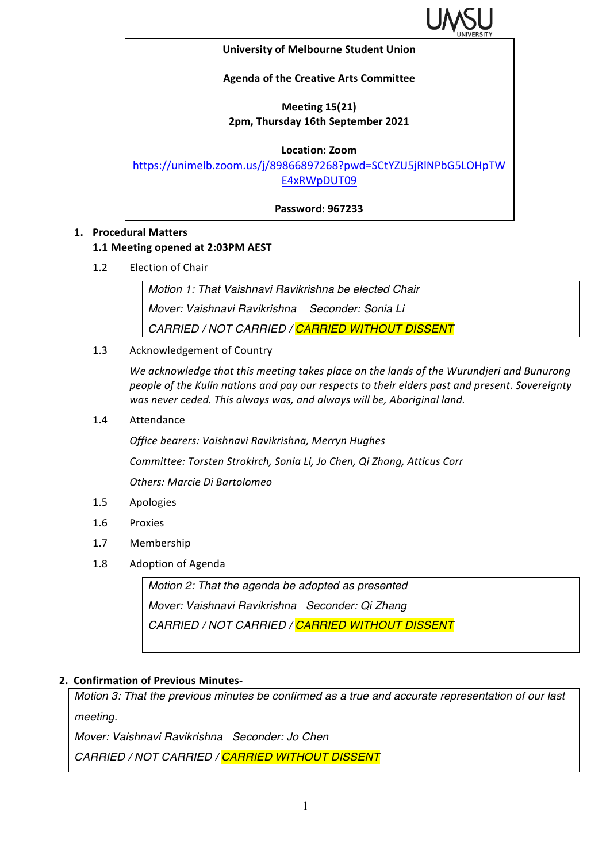

#### **University of Melbourne Student Union**

## **Agenda of the Creative Arts Committee**

# **Meeting 15(21) 2pm, Thursday 16th September 2021**

### **Location: Zoom**

https://unimelb.zoom.us/j/89866897268?pwd=SCtYZU5jRlNPbG5LOHpTW E4xRWpDUT09

**Password: 967233**

## **1. Procedural Matters**

## **1.1 Meeting opened at 2:03PM AEST**

1.2 Election of Chair

*Motion 1: That Vaishnavi Ravikrishna be elected Chair Mover: Vaishnavi Ravikrishna Seconder: Sonia Li CARRIED / NOT CARRIED / CARRIED WITHOUT DISSENT*

1.3 Acknowledgement of Country

We acknowledge that this meeting takes place on the lands of the Wurundjeri and Bunurong people of the Kulin nations and pay our respects to their elders past and present. Sovereignty was never ceded. This always was, and always will be, Aboriginal land.

1.4 Attendance

*Office bearers: Vaishnavi Ravikrishna, Merryn Hughes*

*Committee: Torsten Strokirch, Sonia Li, Jo Chen, Qi Zhang, Atticus Corr*

*Others: Marcie Di Bartolomeo*

- 1.5 Apologies
- 1.6 Proxies
- 1.7 Membership
- 1.8 Adoption of Agenda

*Motion 2: That the agenda be adopted as presented Mover: Vaishnavi Ravikrishna Seconder: Qi Zhang CARRIED / NOT CARRIED / CARRIED WITHOUT DISSENT*

# **2. Confirmation of Previous Minutes-**

*Motion 3: That the previous minutes be confirmed as a true and accurate representation of our last meeting.*

*Mover: Vaishnavi Ravikrishna Seconder: Jo Chen*

*CARRIED / NOT CARRIED / CARRIED WITHOUT DISSENT*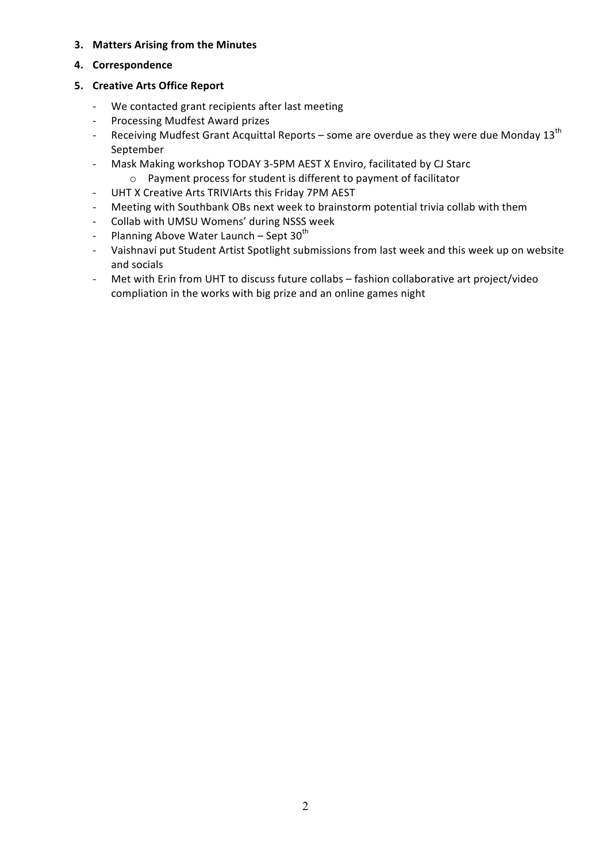### **3.** Matters Arising from the Minutes

### **4. Correspondence**

### **5. Creative Arts Office Report**

- We contacted grant recipients after last meeting
- Processing Mudfest Award prizes
- Receiving Mudfest Grant Acquittal Reports some are overdue as they were due Monday  $13^{\text{th}}$ September
- Mask Making workshop TODAY 3-5PM AEST X Enviro, facilitated by CJ Starc
- $\circ$  Payment process for student is different to payment of facilitator - UHT X Creative Arts TRIVIArts this Friday 7PM AEST
- Meeting with Southbank OBs next week to brainstorm potential trivia collab with them
- Collab with UMSU Womens' during NSSS week
- Planning Above Water Launch Sept  $30<sup>th</sup>$
- Vaishnavi put Student Artist Spotlight submissions from last week and this week up on website and socials
- Met with Erin from UHT to discuss future collabs fashion collaborative art project/video compliation in the works with big prize and an online games night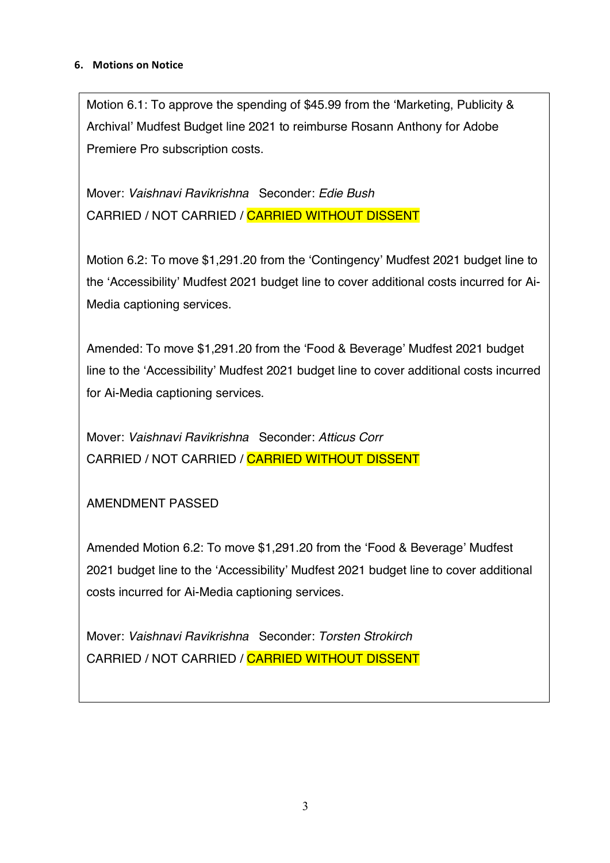# **6. Motions on Notice**

Motion 6.1: To approve the spending of \$45.99 from the 'Marketing, Publicity & Archival' Mudfest Budget line 2021 to reimburse Rosann Anthony for Adobe Premiere Pro subscription costs.

Mover: *Vaishnavi Ravikrishna* Seconder: *Edie Bush* CARRIED / NOT CARRIED / CARRIED WITHOUT DISSENT

Motion 6.2: To move \$1,291.20 from the 'Contingency' Mudfest 2021 budget line to the 'Accessibility' Mudfest 2021 budget line to cover additional costs incurred for Ai-Media captioning services.

Amended: To move \$1,291.20 from the 'Food & Beverage' Mudfest 2021 budget line to the 'Accessibility' Mudfest 2021 budget line to cover additional costs incurred for Ai-Media captioning services.

Mover: *Vaishnavi Ravikrishna* Seconder: *Atticus Corr* CARRIED / NOT CARRIED / CARRIED WITHOUT DISSENT

AMENDMENT PASSED

Amended Motion 6.2: To move \$1,291.20 from the 'Food & Beverage' Mudfest 2021 budget line to the 'Accessibility' Mudfest 2021 budget line to cover additional costs incurred for Ai-Media captioning services.

Mover: *Vaishnavi Ravikrishna* Seconder: *Torsten Strokirch* CARRIED / NOT CARRIED / CARRIED WITHOUT DISSENT